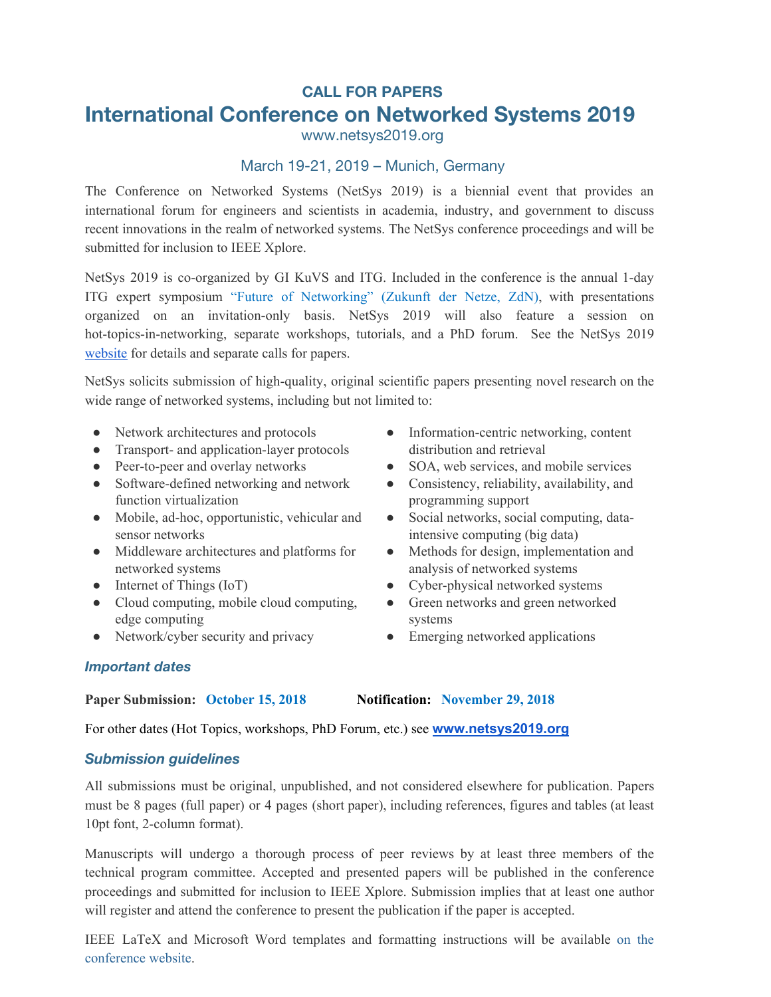# **CALL FOR PAPERS International Conference on Networked Systems 2019**

www.netsys2019.org

### March 19-21, 2019 – Munich, Germany

The Conference on Networked Systems (NetSys 2019) is a biennial event that provides an international forum for engineers and scientists in academia, industry, and government to discuss recent innovations in the realm of networked systems. The NetSys conference proceedings and will be submitted for inclusion to IEEE Xplore.

NetSys 2019 is co-organized by GI KuVS and ITG. Included in the conference is the annual 1-day ITG expert symposium "Future of Networking" (Zukunft der Netze, ZdN), with presentations organized on an invitation-only basis. NetSys 2019 will also feature a session on hot-topics-in-networking, separate workshops, tutorials, and a PhD forum. See the NetSys 2019 [website](http://www.netsys2019.org/) for details and separate calls for papers.

NetSys solicits submission of high-quality, original scientific papers presenting novel research on the wide range of networked systems, including but not limited to:

- Network architectures and protocols
- Transport- and application-layer protocols
- Peer-to-peer and overlay networks
- Software-defined networking and network function virtualization
- Mobile, ad-hoc, opportunistic, vehicular and sensor networks
- Middleware architectures and platforms for networked systems
- Internet of Things (IoT)
- Cloud computing, mobile cloud computing, edge computing
- Network/cyber security and privacy
- Information-centric networking, content distribution and retrieval
- SOA, web services, and mobile services
- Consistency, reliability, availability, and programming support
- Social networks, social computing, dataintensive computing (big data)
- Methods for design, implementation and analysis of networked systems
- Cyber-physical networked systems
- Green networks and green networked systems
- Emerging networked applications

#### *Important dates*

**Paper Submission: October 15, 2018 Notification: November 29, 2018**

For other dates (Hot Topics, workshops, PhD Forum, etc.) see **www.n[etsys2019.org](http://www.netsys2019.org/)**

#### *Submission guidelines*

All submissions must be original, unpublished, and not considered elsewhere for publication. Papers must be 8 pages (full paper) or 4 pages (short paper), including references, figures and tables (at least 10pt font, 2-column format).

Manuscripts will undergo a thorough process of peer reviews by at least three members of the technical program committee. Accepted and presented papers will be published in the conference proceedings and submitted for inclusion to IEEE Xplore. Submission implies that at least one author will register and attend the conference to present the publication if the paper is accepted.

IEEE LaTeX and Microsoft Word templates and formatting instructions will be available on the conference website.